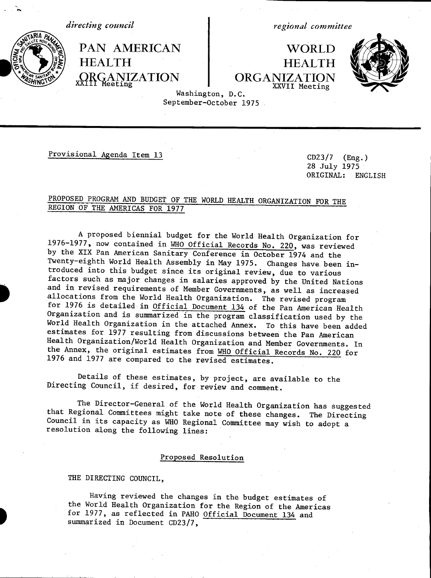*directing council*

*regional committee*

PAN AMERICAN WORLD<br>HEALTH HEALTH \* HEALTH<br>xxH\Geeting particle organization produced by DRGANIZATION eeting  $\bigcap_{\substack{XXV \text{II} \text{Mecting} \ \text{XXVII} \ \text{Mecting}}}$ XXVII Meeting



Washington, D.C. September-October 1975

Provisional Agenda Item 13 CD23/7 (Eng.)

28 July 1975 ORIGINAL: ENGLISH

## PROPOSED PROGRAM AND BUDGET OF THE WORLD HEALTH ORGANIZATION FOR THE REGION OF THE AMERICAS FOR 1977

A proposed biennial budget for the World Health Organization for 1976-1977, now contained in WHO Official Records No. 220, was reviewed by the XIX Pan American Sanitary Conference in October 1974 and the Twenty-eighth World Health Assembly in May 1975. Changes have been introduced into this budget since its original review, due to various and in revised requirements of Member Governments, as well as increased allocations from the World Health Organization. The revised program for 1976 is detailed in Official Document 134 of the Pan American Health Organization and is summarized in the program classification used by the World Health Organization in the attached Annex. To this have been added estimates for 1977 resulting from discussions between the Pan American Health Organization/World Health Organization and Member Governments. In the Annex, the original estimates from WHO Official Records No. 220 for 1976 and 1977 are compared to the revised estimates.

Details of these estimates, by project, are available to the Directing Council, if desired, for review and comment.

The Director-General of the World Health Organization has suggested that Regional Committees might take note of these changes. The Directing Council in its capacity as WHO Regional Committee may wish to adopt a resolution along the following lines:

## Proposed Resolution

THE DIRECTING COUNCIL,

Having reviewed the changes in the budget estimates of the World Health Organization for the Region of the Americas for 1977, as reflected in PAHO Official Document 134 and summarized in Document CD23/7,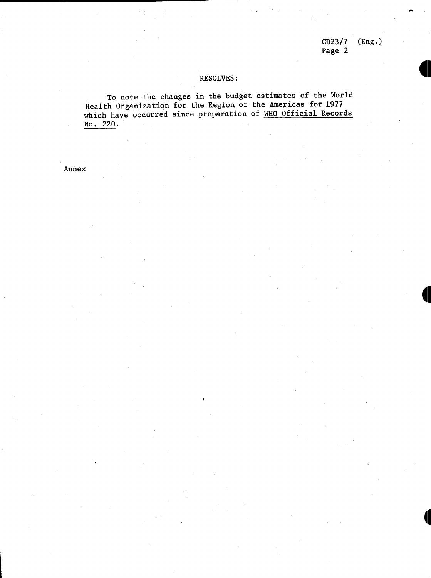CD23/7 (Eng.) Page 2

. The contract of the contract of the contract of the contract of the contract of the contract of the contract of the contract of the contract of the contract of the contract of the contract of the contract of the contrac

## RESOLVES:

To note the changes in the budget estimates of the World Health Organization for the Region of the Americas for 1977 which have occurred since preparation of WHO Official Records No. 220.

Annex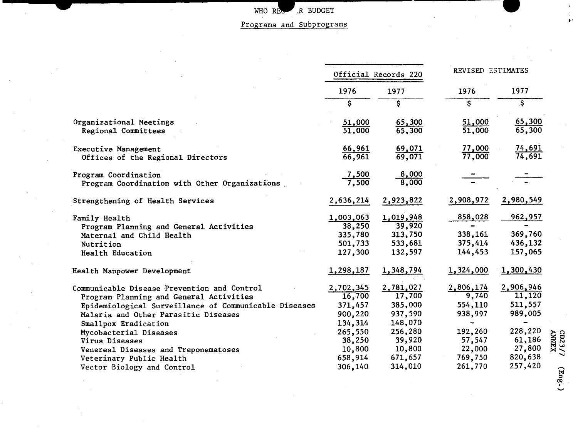WHO REGRAMS AND BUDGET

Programs and Subprograms

 $\ddot{\bullet}$ 

 $\begin{array}{c} {\rm CD23/7}\\ {\rm AMWEX} \end{array}$ 

 $(\text{Eng.})$ 

| Official Records 220                                                                           |                                                                                                | REVISED ESTIMATES                                                                  |                                                                                                |  |
|------------------------------------------------------------------------------------------------|------------------------------------------------------------------------------------------------|------------------------------------------------------------------------------------|------------------------------------------------------------------------------------------------|--|
| 1976                                                                                           | 1977                                                                                           | 1976                                                                               | 1977                                                                                           |  |
| $\mathsf{S}$                                                                                   | \$                                                                                             | \$                                                                                 | \$                                                                                             |  |
| 51,000<br>51,000                                                                               | 65,300<br>65,300                                                                               | 51,000<br>51,000                                                                   | 65,300<br>65,300                                                                               |  |
| $\frac{66,961}{66,961}$                                                                        | 69,071<br>69,071                                                                               | 77,000<br>77,000                                                                   | $\frac{74,691}{74,691}$                                                                        |  |
| $\frac{7,500}{7,500}$                                                                          | 8,000<br>8,000                                                                                 |                                                                                    |                                                                                                |  |
| 2,636,214                                                                                      | 2,923,822                                                                                      | 2,908,972                                                                          | 2,980,549                                                                                      |  |
| 1,003,063<br>38,250<br>335,780<br>501,733<br>127,300                                           | 1,019,948<br>39,920<br>313,750<br>533,681<br>132,597                                           | 858,028<br>338,161<br>375,414<br>144,453                                           | 962,957<br>369,760<br>436,132<br>157,065                                                       |  |
| 1,298,187                                                                                      | 1,348,794                                                                                      | 1,324,000                                                                          | 1,300,430                                                                                      |  |
| 2,702,345<br>16,700<br>371,457<br>900,220<br>134,314<br>265,550<br>38,250<br>10,800<br>658,914 | 2,781,027<br>17,700<br>385,000<br>937,590<br>148,070<br>256,280<br>39,920<br>10,800<br>671,657 | 2,806,174<br>9,740<br>554,110<br>938,997<br>192,260<br>57,547<br>22,000<br>769,750 | 2,906,946<br>11,120<br>511,557<br>989,005<br>228,220<br>61,186<br>27,800<br>820,638<br>257,420 |  |
|                                                                                                | 306,140                                                                                        | 314,010                                                                            | 261,770                                                                                        |  |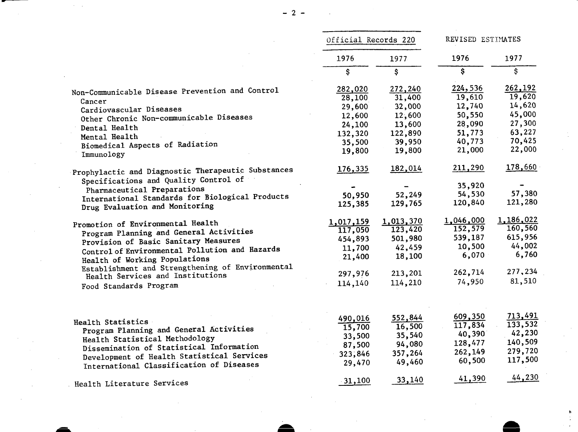|                                                                                        | Official Records 220 |           | REVISED ESTIMATES |            |
|----------------------------------------------------------------------------------------|----------------------|-----------|-------------------|------------|
|                                                                                        | 1976                 | 1977      | 1976<br>\$        | 1977<br>\$ |
|                                                                                        | \$                   | \$        |                   |            |
| Non-Communicable Disease Prevention and Control                                        | 282,020              | 272,240   | 224,536           | 262,192    |
| Cancer                                                                                 | 28,100               | 31,400    | 19,610            | 19,620     |
| Cardiovascular Diseases                                                                | 29,600               | 32,000    | 12,740            | 14,620     |
| Other Chronic Non-communicable Diseases                                                | 12,600               | 12,600    | 50,550            | 45,000     |
|                                                                                        | 24,100               | 13,600    | 28,090            | 27,300     |
| Dental Health                                                                          | 132,320              | 122,890   | 51,773            | 63,227     |
| Mental Health                                                                          | 35,500               | 39,950    | 40,773            | 70,425     |
| Biomedical Aspects of Radiation                                                        | 19,800               | 19,800    | 21,000            | 22,000     |
| Immunology                                                                             |                      |           |                   |            |
| Prophylactic and Diagnostic Therapeutic Substances                                     | 176,335              | 182,014   | 211,290           | 178,660    |
| Specifications and Quality Control of                                                  |                      |           |                   |            |
|                                                                                        |                      |           | 35,920            |            |
| Pharmaceutical Preparations<br>International Standards for Biological Products         | 50,950               | 52,249    | 54,530            | 57,380     |
|                                                                                        | 125,385              | 129,765   | 120,840           | 121,280    |
| Drug Evaluation and Monitoring                                                         |                      |           |                   |            |
| Promotion of Environmental Health                                                      | 1,017,159            | 1,013,370 | 1,046,000         | 1,186,022  |
| Program Planning and General Activities                                                | 117,050              | 123,420   | 152,579           | 160,560    |
| Provision of Basic Sanitary Measures                                                   | 454,893              | 501,980   | 539,187           | 615,956    |
| Control of Environmental Pollution and Hazards                                         | 11,700               | 42,459    | 10,500            | 44,002     |
|                                                                                        | 21,400               | 18,100    | 6,070             | 6,760      |
| Health of Working Populations<br>Establishment and Strengthening of Environmental      |                      |           |                   |            |
| Health Services and Institutions                                                       | 297,976              | 213,201   | 262,714           | 277,234    |
|                                                                                        | 114,140              | 114,210   | 74,950            | 81,510     |
| Food Standards Program                                                                 |                      |           |                   |            |
|                                                                                        | 490,016              | 552,844   | 609,350           | 713,491    |
| Health Statistics<br>Program Planning and General Activities                           | $\overline{15,700}$  | 16,500    | 117,834           | 133,532    |
| Health Statistical Methodology                                                         | 33,500               | 35,540    | 40,390            | 42,230     |
| Dissemination of Statistical Information                                               | 87,500               | 94,080    | 128,477           | 140,509    |
|                                                                                        | 323,846              | 357,264   | 262,149           | 279,720    |
| Development of Health Statistical Services<br>International Classification of Diseases | 29,470               | 49,460    | 60,500            | 117,500    |
|                                                                                        |                      |           |                   |            |
|                                                                                        | $-31,100$            | 33,140    | 41,390            | 44,230     |
| Health Literature Services                                                             |                      |           |                   |            |

 $\mathcal{L}_{\text{max}}$  and  $\mathcal{L}_{\text{max}}$  . We have

 $\sim 10^{11}$ 

 $\mathcal{L}^{\text{max}}_{\text{max}}$ 

 $\sim 10$ 

 $\frac{1}{2}$  ,  $\frac{1}{2}$ 

 $\sim 10^{-1}$ 

 $\label{eq:2.1} \frac{1}{2} \sum_{i=1}^n \frac{1}{2} \sum_{j=1}^n \frac{1}{2} \sum_{j=1}^n \frac{1}{2} \sum_{j=1}^n \frac{1}{2} \sum_{j=1}^n \frac{1}{2} \sum_{j=1}^n \frac{1}{2} \sum_{j=1}^n \frac{1}{2} \sum_{j=1}^n \frac{1}{2} \sum_{j=1}^n \frac{1}{2} \sum_{j=1}^n \frac{1}{2} \sum_{j=1}^n \frac{1}{2} \sum_{j=1}^n \frac{1}{2} \sum_{j=1}^n \frac{$ 

 $\bullet$ 

 $\sim 10^{-1}$ 

 $\mathcal{L}^{\text{max}}_{\text{max}}$ 

 $\label{eq:2.1} \frac{1}{\sqrt{2\pi}}\int_{0}^{\infty}\frac{1}{\sqrt{2\pi}}\left(\frac{1}{\sqrt{2\pi}}\right)^{2\alpha} \frac{1}{\sqrt{2\pi}}\frac{1}{\sqrt{2\pi}}\frac{1}{\sqrt{2\pi}}\frac{1}{\sqrt{2\pi}}\frac{1}{\sqrt{2\pi}}\frac{1}{\sqrt{2\pi}}\frac{1}{\sqrt{2\pi}}\frac{1}{\sqrt{2\pi}}\frac{1}{\sqrt{2\pi}}\frac{1}{\sqrt{2\pi}}\frac{1}{\sqrt{2\pi}}\frac{1}{\sqrt{2\pi}}\frac{1}{\sqrt{2\pi}}$ 

 $\mathcal{L}^{\text{max}}_{\text{max}}$  and  $\mathcal{L}^{\text{max}}_{\text{max}}$ 

 $\sim 100$ 

 $\mathcal{L}^{\text{max}}_{\text{max}}$ 

 $\mathcal{L}(\mathcal{L}^{\text{c}})$  and  $\mathcal{L}^{\text{c}}$  and  $\mathcal{L}^{\text{c}}$